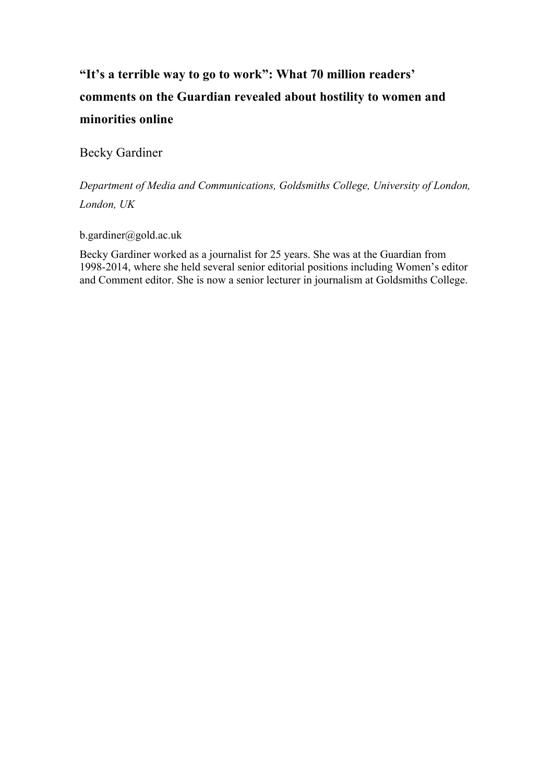# **"It's a terrible way to go to work": What 70 million readers' comments on the Guardian revealed about hostility to women and minorities online**

Becky Gardiner

*Department of Media and Communications, Goldsmiths College, University of London, London, UK*

b.gardiner@gold.ac.uk

Becky Gardiner worked as a journalist for 25 years. She was at the Guardian from 1998-2014, where she held several senior editorial positions including Women's editor and Comment editor. She is now a senior lecturer in journalism at Goldsmiths College.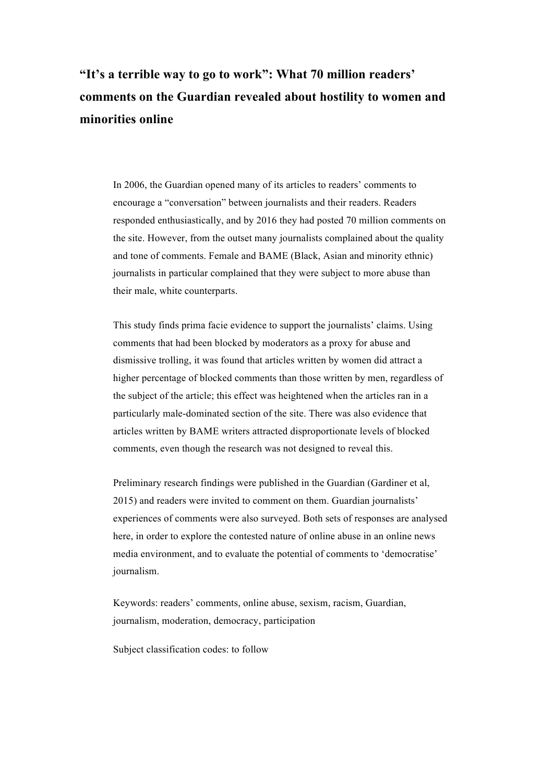# **"It's a terrible way to go to work": What 70 million readers' comments on the Guardian revealed about hostility to women and minorities online**

In 2006, the Guardian opened many of its articles to readers' comments to encourage a "conversation" between journalists and their readers. Readers responded enthusiastically, and by 2016 they had posted 70 million comments on the site. However, from the outset many journalists complained about the quality and tone of comments. Female and BAME (Black, Asian and minority ethnic) journalists in particular complained that they were subject to more abuse than their male, white counterparts.

This study finds prima facie evidence to support the journalists' claims. Using comments that had been blocked by moderators as a proxy for abuse and dismissive trolling, it was found that articles written by women did attract a higher percentage of blocked comments than those written by men, regardless of the subject of the article; this effect was heightened when the articles ran in a particularly male-dominated section of the site. There was also evidence that articles written by BAME writers attracted disproportionate levels of blocked comments, even though the research was not designed to reveal this.

Preliminary research findings were published in the Guardian (Gardiner et al, 2015) and readers were invited to comment on them. Guardian journalists' experiences of comments were also surveyed. Both sets of responses are analysed here, in order to explore the contested nature of online abuse in an online news media environment, and to evaluate the potential of comments to 'democratise' journalism.

Keywords: readers' comments, online abuse, sexism, racism, Guardian, journalism, moderation, democracy, participation

Subject classification codes: to follow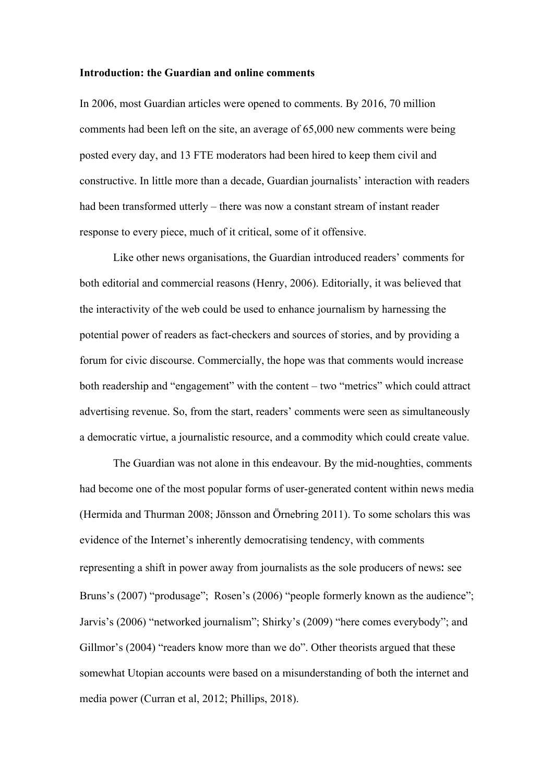#### **Introduction: the Guardian and online comments**

In 2006, most Guardian articles were opened to comments. By 2016, 70 million comments had been left on the site, an average of 65,000 new comments were being posted every day, and 13 FTE moderators had been hired to keep them civil and constructive. In little more than a decade, Guardian journalists' interaction with readers had been transformed utterly – there was now a constant stream of instant reader response to every piece, much of it critical, some of it offensive.

Like other news organisations, the Guardian introduced readers' comments for both editorial and commercial reasons (Henry, 2006). Editorially, it was believed that the interactivity of the web could be used to enhance journalism by harnessing the potential power of readers as fact-checkers and sources of stories, and by providing a forum for civic discourse. Commercially, the hope was that comments would increase both readership and "engagement" with the content – two "metrics" which could attract advertising revenue. So, from the start, readers' comments were seen as simultaneously a democratic virtue, a journalistic resource, and a commodity which could create value.

The Guardian was not alone in this endeavour. By the mid-noughties, comments had become one of the most popular forms of user-generated content within news media (Hermida and Thurman 2008; Jönsson and Örnebring 2011). To some scholars this was evidence of the Internet's inherently democratising tendency, with comments representing a shift in power away from journalists as the sole producers of news: see Bruns's (2007) "produsage"; Rosen's (2006) "people formerly known as the audience"; Jarvis's (2006) "networked journalism"; Shirky's (2009) "here comes everybody"; and Gillmor's (2004) "readers know more than we do". Other theorists argued that these somewhat Utopian accounts were based on a misunderstanding of both the internet and media power (Curran et al, 2012; Phillips, 2018).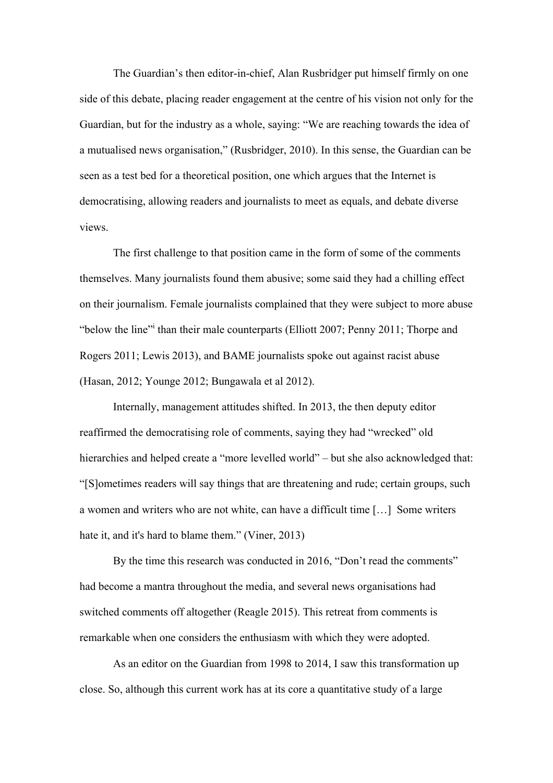The Guardian's then editor-in-chief, Alan Rusbridger put himself firmly on one side of this debate, placing reader engagement at the centre of his vision not only for the Guardian, but for the industry as a whole, saying: "We are reaching towards the idea of a mutualised news organisation," (Rusbridger, 2010). In this sense, the Guardian can be seen as a test bed for a theoretical position, one which argues that the Internet is democratising, allowing readers and journalists to meet as equals, and debate diverse views.

The first challenge to that position came in the form of some of the comments themselves. Many journalists found them abusive; some said they had a chilling effect on their journalism. Female journalists complained that they were subject to more abuse "below the line" than their male counterparts (Elliott 2007; Penny 2011; Thorpe and Rogers 2011; Lewis 2013), and BAME journalists spoke out against racist abuse (Hasan, 2012; Younge 2012; Bungawala et al 2012).

Internally, management attitudes shifted. In 2013, the then deputy editor reaffirmed the democratising role of comments, saying they had "wrecked" old hierarchies and helped create a "more levelled world" – but she also acknowledged that: "[S]ometimes readers will say things that are threatening and rude; certain groups, such a women and writers who are not white, can have a difficult time […] Some writers hate it, and it's hard to blame them." (Viner, 2013)

By the time this research was conducted in 2016, "Don't read the comments" had become a mantra throughout the media, and several news organisations had switched comments off altogether (Reagle 2015). This retreat from comments is remarkable when one considers the enthusiasm with which they were adopted.

As an editor on the Guardian from 1998 to 2014, I saw this transformation up close. So, although this current work has at its core a quantitative study of a large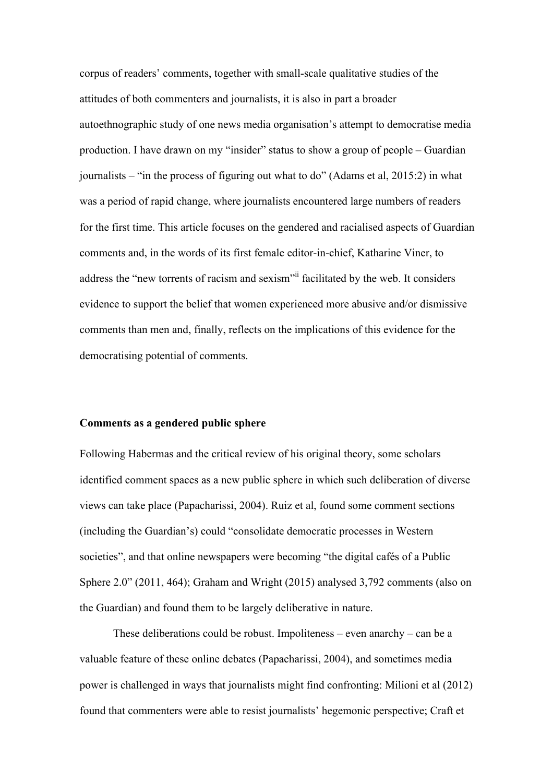corpus of readers' comments, together with small-scale qualitative studies of the attitudes of both commenters and journalists, it is also in part a broader autoethnographic study of one news media organisation's attempt to democratise media production. I have drawn on my "insider" status to show a group of people – Guardian journalists – "in the process of figuring out what to do" (Adams et al, 2015:2) in what was a period of rapid change, where journalists encountered large numbers of readers for the first time. This article focuses on the gendered and racialised aspects of Guardian comments and, in the words of its first female editor-in-chief, Katharine Viner, to address the "new torrents of racism and sexism"<sup>ii</sup> facilitated by the web. It considers evidence to support the belief that women experienced more abusive and/or dismissive comments than men and, finally, reflects on the implications of this evidence for the democratising potential of comments.

#### **Comments as a gendered public sphere**

Following Habermas and the critical review of his original theory, some scholars identified comment spaces as a new public sphere in which such deliberation of diverse views can take place (Papacharissi, 2004). Ruiz et al, found some comment sections (including the Guardian's) could "consolidate democratic processes in Western societies", and that online newspapers were becoming "the digital cafés of a Public Sphere 2.0" (2011, 464); Graham and Wright (2015) analysed 3,792 comments (also on the Guardian) and found them to be largely deliberative in nature.

These deliberations could be robust. Impoliteness – even anarchy – can be a valuable feature of these online debates (Papacharissi, 2004), and sometimes media power is challenged in ways that journalists might find confronting: Milioni et al (2012) found that commenters were able to resist journalists' hegemonic perspective; Craft et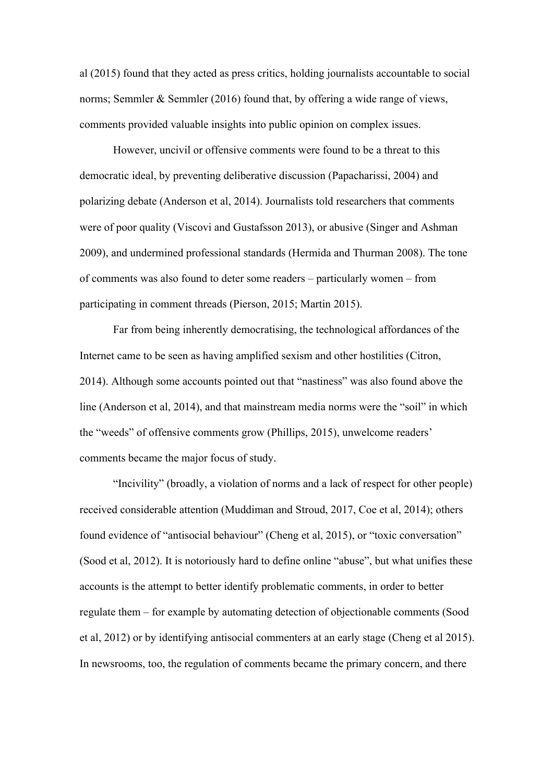al (2015) found that they acted as press critics, holding journalists accountable to social norms; Semmler & Semmler (2016) found that, by offering a wide range of views, comments provided valuable insights into public opinion on complex issues.

However, uncivil or offensive comments were found to be a threat to this democratic ideal, by preventing deliberative discussion (Papacharissi, 2004) and polarizing debate (Anderson et al, 2014). Journalists told researchers that comments were of poor quality (Viscovi and Gustafsson 2013), or abusive (Singer and Ashman 2009), and undermined professional standards (Hermida and Thurman 2008). The tone of comments was also found to deter some readers – particularly women – from participating in comment threads (Pierson, 2015; Martin 2015).

Far from being inherently democratising, the technological affordances of the Internet came to be seen as having amplified sexism and other hostilities (Citron, 2014). Although some accounts pointed out that "nastiness" was also found above the line (Anderson et al, 2014), and that mainstream media norms were the "soil" in which the "weeds" of offensive comments grow (Phillips, 2015), unwelcome readers' comments became the major focus of study.

"Incivility" (broadly, a violation of norms and a lack of respect for other people) received considerable attention (Muddiman and Stroud, 2017, Coe et al, 2014); others found evidence of "antisocial behaviour" (Cheng et al, 2015), or "toxic conversation" (Sood et al, 2012). It is notoriously hard to define online "abuse", but what unifies these accounts is the attempt to better identify problematic comments, in order to better regulate them – for example by automating detection of objectionable comments (Sood et al, 2012) or by identifying antisocial commenters at an early stage (Cheng et al 2015). In newsrooms, too, the regulation of comments became the primary concern, and there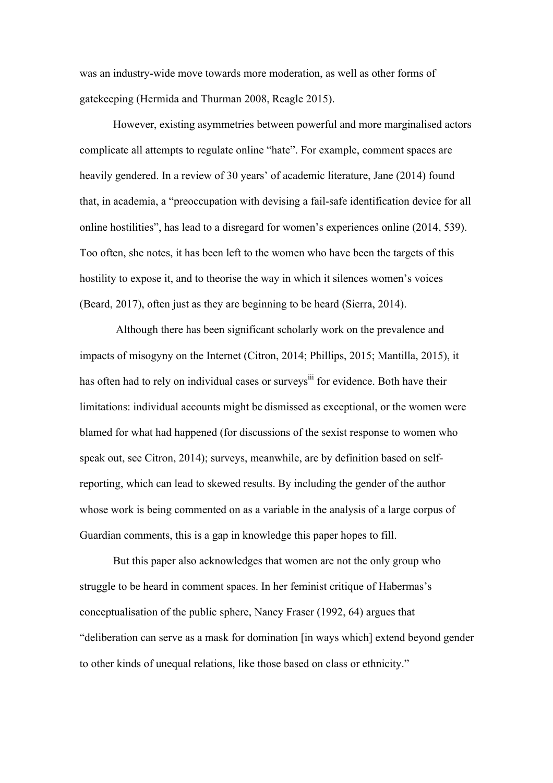was an industry-wide move towards more moderation, as well as other forms of gatekeeping (Hermida and Thurman 2008, Reagle 2015).

However, existing asymmetries between powerful and more marginalised actors complicate all attempts to regulate online "hate". For example, comment spaces are heavily gendered. In a review of 30 years' of academic literature, Jane (2014) found that, in academia, a "preoccupation with devising a fail-safe identification device for all online hostilities", has lead to a disregard for women's experiences online (2014, 539). Too often, she notes, it has been left to the women who have been the targets of this hostility to expose it, and to theorise the way in which it silences women's voices (Beard, 2017), often just as they are beginning to be heard (Sierra, 2014).

Although there has been significant scholarly work on the prevalence and impacts of misogyny on the Internet (Citron, 2014; Phillips, 2015; Mantilla, 2015), it has often had to rely on individual cases or surveys<sup>iii</sup> for evidence. Both have their limitations: individual accounts might be dismissed as exceptional, or the women were blamed for what had happened (for discussions of the sexist response to women who speak out, see Citron, 2014); surveys, meanwhile, are by definition based on selfreporting, which can lead to skewed results. By including the gender of the author whose work is being commented on as a variable in the analysis of a large corpus of Guardian comments, this is a gap in knowledge this paper hopes to fill.

But this paper also acknowledges that women are not the only group who struggle to be heard in comment spaces. In her feminist critique of Habermas's conceptualisation of the public sphere, Nancy Fraser (1992, 64) argues that "deliberation can serve as a mask for domination [in ways which] extend beyond gender to other kinds of unequal relations, like those based on class or ethnicity."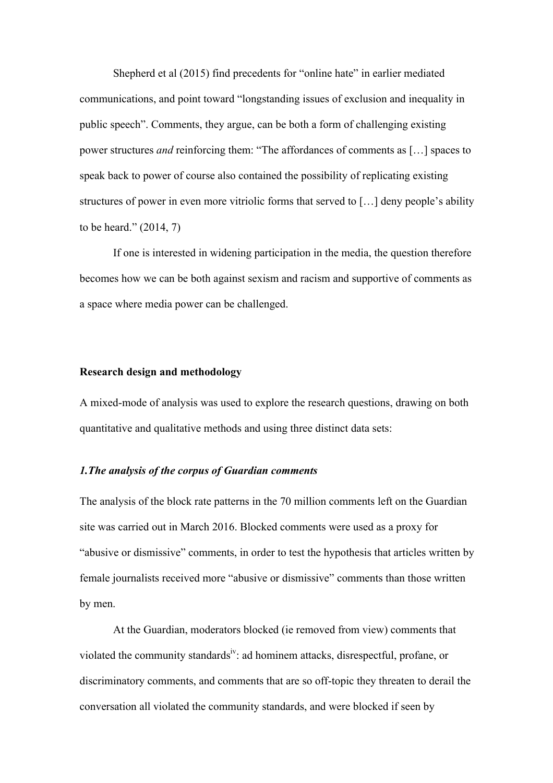Shepherd et al (2015) find precedents for "online hate" in earlier mediated communications, and point toward "longstanding issues of exclusion and inequality in public speech". Comments, they argue, can be both a form of challenging existing power structures *and* reinforcing them: "The affordances of comments as […] spaces to speak back to power of course also contained the possibility of replicating existing structures of power in even more vitriolic forms that served to […] deny people's ability to be heard." (2014, 7)

If one is interested in widening participation in the media, the question therefore becomes how we can be both against sexism and racism and supportive of comments as a space where media power can be challenged.

# **Research design and methodology**

A mixed-mode of analysis was used to explore the research questions, drawing on both quantitative and qualitative methods and using three distinct data sets:

### *1.The analysis of the corpus of Guardian comments*

The analysis of the block rate patterns in the 70 million comments left on the Guardian site was carried out in March 2016. Blocked comments were used as a proxy for "abusive or dismissive" comments, in order to test the hypothesis that articles written by female journalists received more "abusive or dismissive" comments than those written by men.

At the Guardian, moderators blocked (ie removed from view) comments that violated the community standards<sup>iv</sup>: ad hominem attacks, disrespectful, profane, or discriminatory comments, and comments that are so off-topic they threaten to derail the conversation all violated the community standards, and were blocked if seen by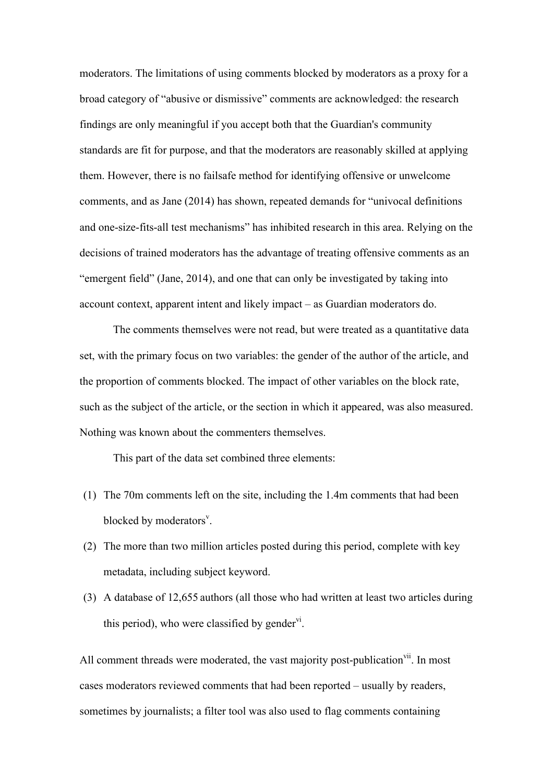moderators. The limitations of using comments blocked by moderators as a proxy for a broad category of "abusive or dismissive" comments are acknowledged: the research findings are only meaningful if you accept both that the Guardian's community standards are fit for purpose, and that the moderators are reasonably skilled at applying them. However, there is no failsafe method for identifying offensive or unwelcome comments, and as Jane (2014) has shown, repeated demands for "univocal definitions and one-size-fits-all test mechanisms" has inhibited research in this area. Relying on the decisions of trained moderators has the advantage of treating offensive comments as an "emergent field" (Jane, 2014), and one that can only be investigated by taking into account context, apparent intent and likely impact – as Guardian moderators do.

The comments themselves were not read, but were treated as a quantitative data set, with the primary focus on two variables: the gender of the author of the article, and the proportion of comments blocked. The impact of other variables on the block rate, such as the subject of the article, or the section in which it appeared, was also measured. Nothing was known about the commenters themselves.

This part of the data set combined three elements:

- (1) The 70m comments left on the site, including the 1.4m comments that had been blocked by moderators<sup>v</sup>.
- (2) The more than two million articles posted during this period, complete with key metadata, including subject keyword.
- (3) A database of 12,655 authors (all those who had written at least two articles during this period), who were classified by gender $v_1$ .

All comment threads were moderated, the vast majority post-publication<sup>vii</sup>. In most cases moderators reviewed comments that had been reported – usually by readers, sometimes by journalists; a filter tool was also used to flag comments containing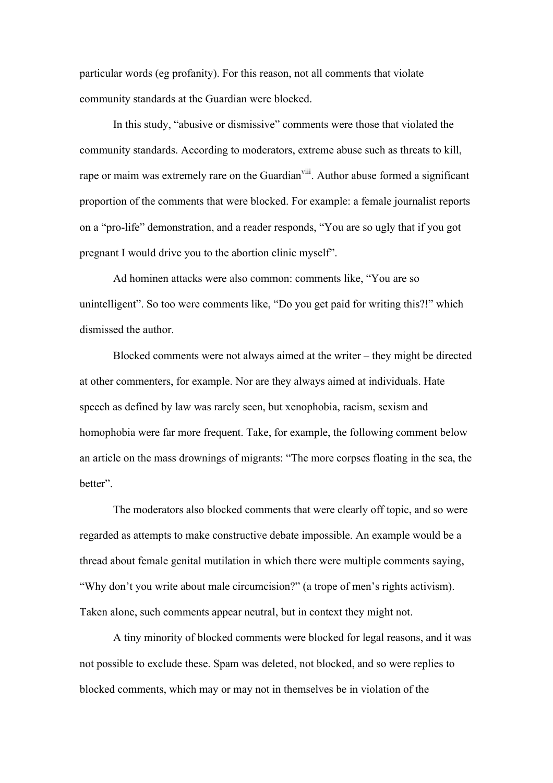particular words (eg profanity). For this reason, not all comments that violate community standards at the Guardian were blocked.

In this study, "abusive or dismissive" comments were those that violated the community standards. According to moderators, extreme abuse such as threats to kill, rape or maim was extremely rare on the Guardian<sup>viii</sup>. Author abuse formed a significant proportion of the comments that were blocked. For example: a female journalist reports on a "pro-life" demonstration, and a reader responds, "You are so ugly that if you got pregnant I would drive you to the abortion clinic myself".

Ad hominen attacks were also common: comments like, "You are so unintelligent". So too were comments like, "Do you get paid for writing this?!" which dismissed the author.

Blocked comments were not always aimed at the writer – they might be directed at other commenters, for example. Nor are they always aimed at individuals. [Hate](https://www.article19.org/pages/en/hate-speech-more.html) [speech](https://www.article19.org/pages/en/hate-speech-more.html) as defined by law was rarely seen, but xenophobia, racism, sexism and homophobia were far more frequent. Take, for example, the following comment below an article on the mass drownings of migrants: "The more corpses floating in the sea, the better".

The moderators also blocked comments that were clearly off topic, and so were regarded as attempts to make constructive debate impossible. An example would be a thread about female genital mutilation in which there were multiple comments saying, "Why don't you write about male circumcision?" (a trope of men's rights activism). Taken alone, such comments appear neutral, but in context they might not.

A tiny minority of blocked comments were blocked for legal reasons, and it was not possible to exclude these. Spam was deleted, not blocked, and so were replies to blocked comments, which may or may not in themselves be in violation of the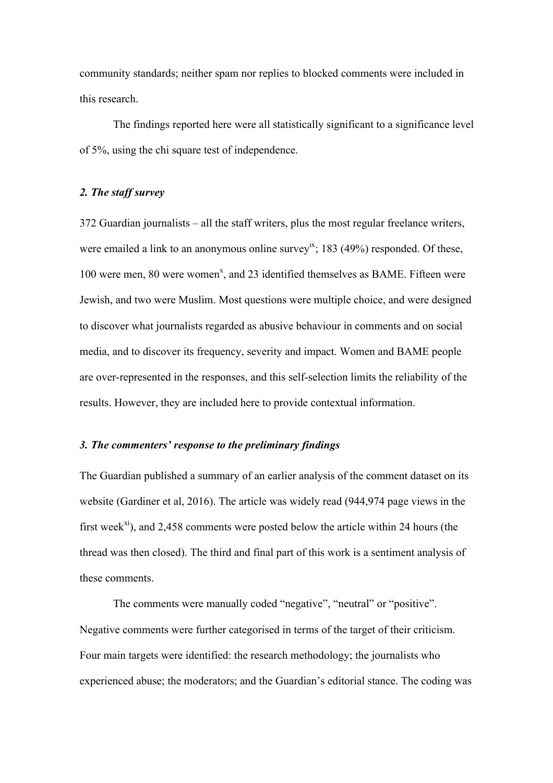community standards; neither spam nor replies to blocked comments were included in this research.

The findings reported here were all statistically significant to a significance level of 5%, using the chi square test of independence.

# *2. The staff survey*

372 Guardian journalists – all the staff writers, plus the most regular freelance writers, were emailed a link to an anonymous online survey<sup>ix</sup>; 183 (49%) responded. Of these, 100 were men, 80 were women<sup>x</sup>, and 23 identified themselves as BAME. Fifteen were Jewish, and two were Muslim. Most questions were multiple choice, and were designed to discover what journalists regarded as abusive behaviour in comments and on social media, and to discover its frequency, severity and impact. Women and BAME people are over-represented in the responses, and this self-selection limits the reliability of the results. However, they are included here to provide contextual information.

# *3. The commenters' response to the preliminary findings*

The Guardian published a summary of an earlier analysis of the comment dataset on its website (Gardiner et al, 2016). The article was widely read (944,974 page views in the first week<sup>xi</sup>), and 2,458 comments were posted below the article within 24 hours (the thread was then closed). The third and final part of this work is a sentiment analysis of these comments.

The comments were manually coded "negative", "neutral" or "positive". Negative comments were further categorised in terms of the target of their criticism. Four main targets were identified: the research methodology; the journalists who experienced abuse; the moderators; and the Guardian's editorial stance. The coding was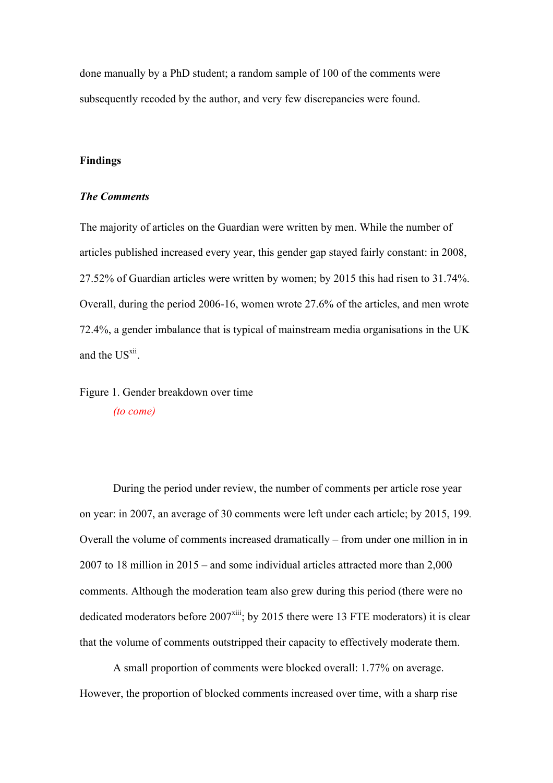done manually by a PhD student; a random sample of 100 of the comments were subsequently recoded by the author, and very few discrepancies were found.

# **Findings**

### *The Comments*

The majority of articles on the Guardian were written by men. While the number of articles published increased every year, this gender gap stayed fairly constant: in 2008, 27.52% of Guardian articles were written by women; by 2015 this had risen to 31.74%. Overall, during the period 2006-16, women wrote 27.6% of the articles, and men wrote 72.4%, a gender imbalance that is typical of mainstream media organisations in the UK and the US<sup>xii</sup>.

Figure 1. Gender breakdown over time *(to come)*

During the period under review, the number of comments per article rose year on year: in 2007, an average of 30 comments were left under each article; by 2015, 199*.*  Overall the volume of comments increased dramatically – from under one million in in 2007 to 18 million in 2015 – and some individual articles attracted more than 2,000 comments. Although the moderation team also grew during this period (there were no dedicated moderators before  $2007<sup>xiii</sup>$ ; by 2015 there were 13 FTE moderators) it is clear that the volume of comments outstripped their capacity to effectively moderate them.

A small proportion of comments were blocked overall: 1.77% on average. However, the proportion of blocked comments increased over time, with a sharp rise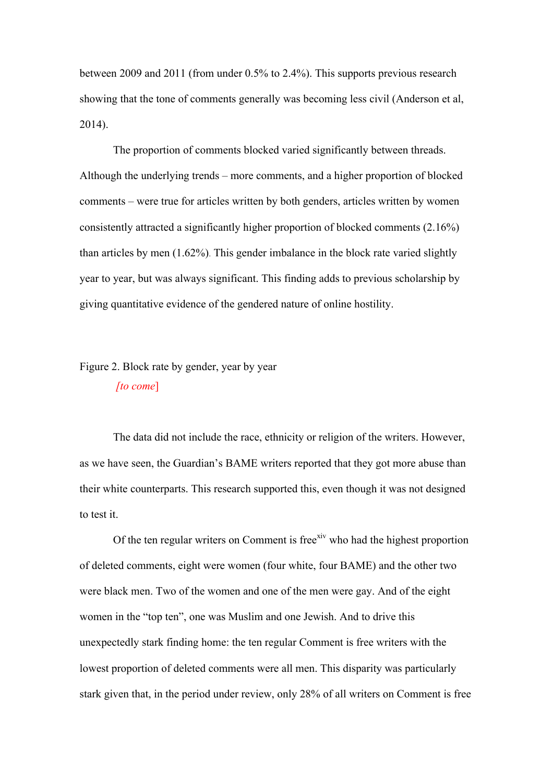between 2009 and 2011 (from under 0.5% to 2.4%). This supports previous research showing that the tone of comments generally was becoming less civil (Anderson et al, 2014).

The proportion of comments blocked varied significantly between threads. Although the underlying trends – more comments, and a higher proportion of blocked comments – were true for articles written by both genders, articles written by women consistently attracted a significantly higher proportion of blocked comments (2.16%) than articles by men (1.62%). This gender imbalance in the block rate varied slightly year to year, but was always significant. This finding adds to previous scholarship by giving quantitative evidence of the gendered nature of online hostility.

# Figure 2. Block rate by gender, year by year *[to come*]

The data did not include the race, ethnicity or religion of the writers. However, as we have seen, the Guardian's BAME writers reported that they got more abuse than their white counterparts. This research supported this, even though it was not designed to test it.

Of the ten regular writers on Comment is free<sup>xiv</sup> who had the highest proportion of deleted comments, eight were women (four white, four BAME) and the other two were black men. Two of the women and one of the men were gay. And of the eight women in the "top ten", one was Muslim and one Jewish. And to drive this unexpectedly stark finding home: the ten regular Comment is free writers with the lowest proportion of deleted comments were all men. This disparity was particularly stark given that, in the period under review, only 28% of all writers on Comment is free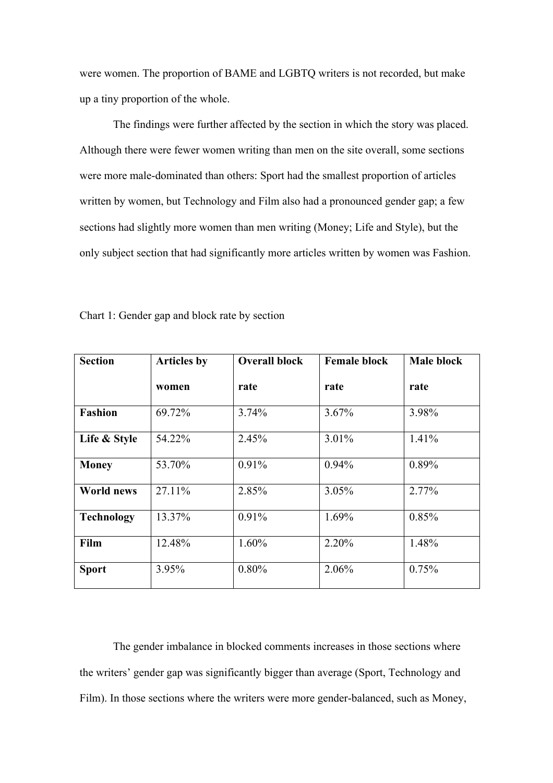were women. The proportion of BAME and LGBTQ writers is not recorded, but make up a tiny proportion of the whole.

The findings were further affected by the section in which the story was placed. Although there were fewer women writing than men on the site overall, some sections were more male-dominated than others: Sport had the smallest proportion of articles written by women, but Technology and Film also had a pronounced gender gap; a few sections had slightly more women than men writing (Money; Life and Style), but the only subject section that had significantly more articles written by women was Fashion.

| <b>Section</b>    | <b>Articles by</b> | <b>Overall block</b> | <b>Female block</b> | Male block |
|-------------------|--------------------|----------------------|---------------------|------------|
|                   | women              | rate                 | rate                | rate       |
| <b>Fashion</b>    | 69.72%             | 3.74%                | 3.67%               | 3.98%      |
| Life & Style      | 54.22%             | 2.45%                | 3.01%               | 1.41%      |
| <b>Money</b>      | 53.70%             | 0.91%                | 0.94%               | 0.89%      |
| <b>World news</b> | 27.11%             | 2.85%                | 3.05%               | 2.77%      |
| <b>Technology</b> | 13.37%             | 0.91%                | 1.69%               | 0.85%      |
| Film              | 12.48%             | 1.60%                | 2.20%               | 1.48%      |
| <b>Sport</b>      | 3.95%              | 0.80%                | 2.06%               | 0.75%      |

Chart 1: Gender gap and block rate by section

The gender imbalance in blocked comments increases in those sections where the writers' gender gap was significantly bigger than average (Sport, Technology and Film). In those sections where the writers were more gender-balanced, such as Money,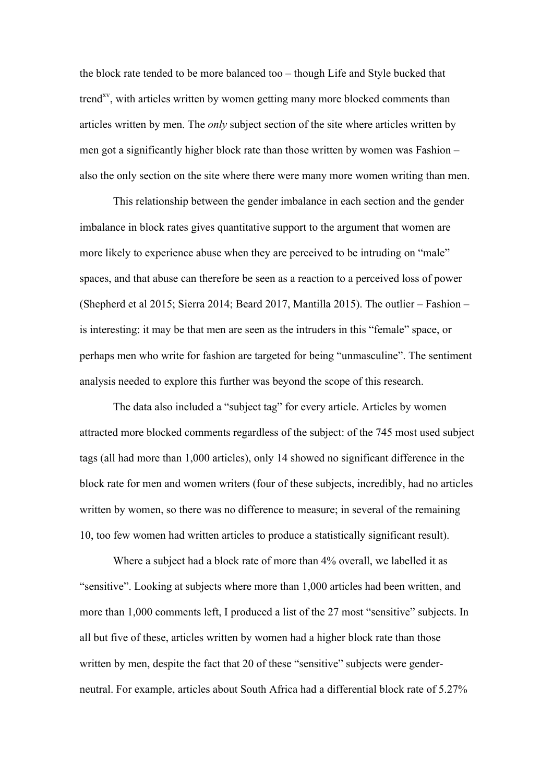the block rate tended to be more balanced too – though Life and Style bucked that trend<sup>xv</sup>, with articles written by women getting many more blocked comments than articles written by men. The *only* subject section of the site where articles written by men got a significantly higher block rate than those written by women was Fashion – also the only section on the site where there were many more women writing than men.

This relationship between the gender imbalance in each section and the gender imbalance in block rates gives quantitative support to the argument that women are more likely to experience abuse when they are perceived to be intruding on "male" spaces, and that abuse can therefore be seen as a reaction to a perceived loss of power (Shepherd et al 2015; Sierra 2014; Beard 2017, Mantilla 2015). The outlier – Fashion – is interesting: it may be that men are seen as the intruders in this "female" space, or perhaps men who write for fashion are targeted for being "unmasculine". The sentiment analysis needed to explore this further was beyond the scope of this research.

The data also included a "subject tag" for every article. Articles by women attracted more blocked comments regardless of the subject: of the 745 most used subject tags (all had more than 1,000 articles), only 14 showed no significant difference in the block rate for men and women writers (four of these subjects, incredibly, had no articles written by women, so there was no difference to measure; in several of the remaining 10, too few women had written articles to produce a statistically significant result).

Where a subject had a block rate of more than 4% overall, we labelled it as "sensitive". Looking at subjects where more than 1,000 articles had been written, and more than 1,000 comments left, I produced a list of the 27 most "sensitive" subjects. In all but five of these, articles written by women had a higher block rate than those written by men, despite the fact that 20 of these "sensitive" subjects were genderneutral. For example, articles about South Africa had a differential block rate of 5.27%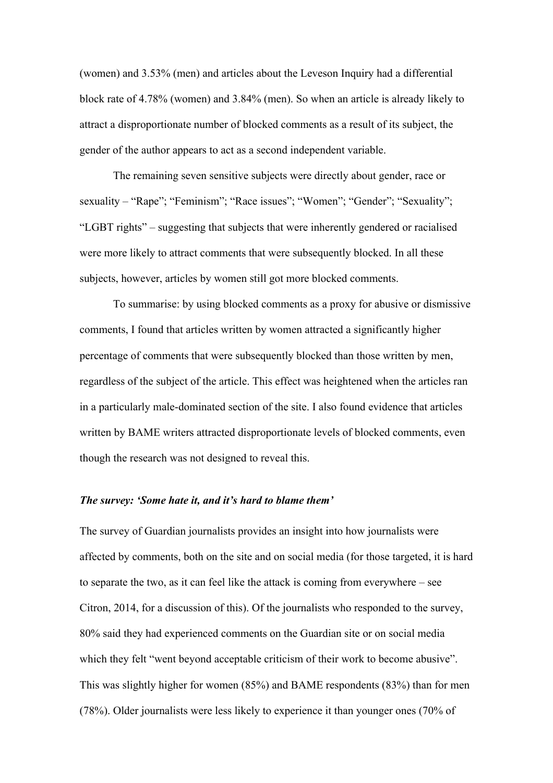(women) and 3.53% (men) and articles about the Leveson Inquiry had a differential block rate of 4.78% (women) and 3.84% (men). So when an article is already likely to attract a disproportionate number of blocked comments as a result of its subject, the gender of the author appears to act as a second independent variable.

The remaining seven sensitive subjects were directly about gender, race or sexuality – "Rape"; "Feminism"; "Race issues"; "Women"; "Gender"; "Sexuality"; "LGBT rights" – suggesting that subjects that were inherently gendered or racialised were more likely to attract comments that were subsequently blocked. In all these subjects, however, articles by women still got more blocked comments.

To summarise: by using blocked comments as a proxy for abusive or dismissive comments, I found that articles written by women attracted a significantly higher percentage of comments that were subsequently blocked than those written by men, regardless of the subject of the article. This effect was heightened when the articles ran in a particularly male-dominated section of the site. I also found evidence that articles written by BAME writers attracted disproportionate levels of blocked comments, even though the research was not designed to reveal this.

#### *The survey: 'Some hate it, and it's hard to blame them'*

The survey of Guardian journalists provides an insight into how journalists were affected by comments, both on the site and on social media (for those targeted, it is hard to separate the two, as it can feel like the attack is coming from everywhere – see Citron, 2014, for a discussion of this). Of the journalists who responded to the survey, 80% said they had experienced comments on the Guardian site or on social media which they felt "went beyond acceptable criticism of their work to become abusive". This was slightly higher for women (85%) and BAME respondents (83%) than for men (78%). Older journalists were less likely to experience it than younger ones (70% of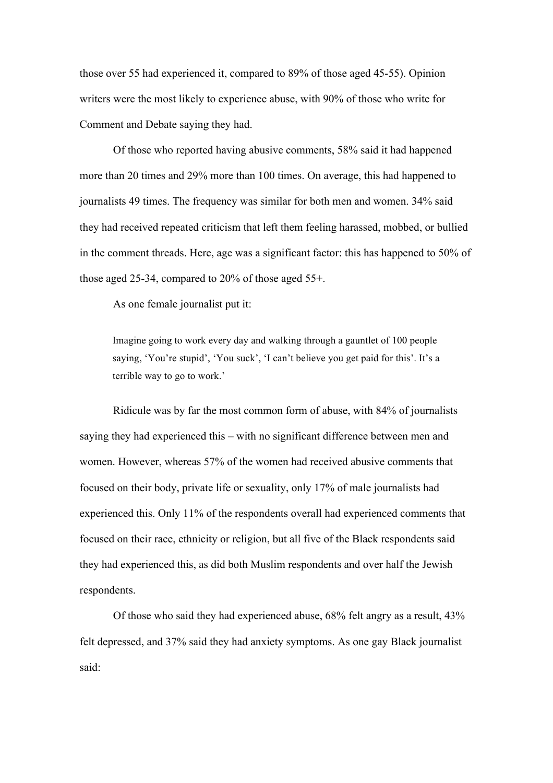those over 55 had experienced it, compared to 89% of those aged 45-55). Opinion writers were the most likely to experience abuse, with 90% of those who write for Comment and Debate saying they had.

Of those who reported having abusive comments, 58% said it had happened more than 20 times and 29% more than 100 times. On average, this had happened to journalists 49 times. The frequency was similar for both men and women. 34% said they had received repeated criticism that left them feeling harassed, mobbed, or bullied in the comment threads. Here, age was a significant factor: this has happened to 50% of those aged 25-34, compared to 20% of those aged 55+.

As one female journalist put it:

Imagine going to work every day and walking through a gauntlet of 100 people saying, 'You're stupid', 'You suck', 'I can't believe you get paid for this'. It's a terrible way to go to work.'

Ridicule was by far the most common form of abuse, with 84% of journalists saying they had experienced this – with no significant difference between men and women. However, whereas 57% of the women had received abusive comments that focused on their body, private life or sexuality, only 17% of male journalists had experienced this. Only 11% of the respondents overall had experienced comments that focused on their race, ethnicity or religion, but all five of the Black respondents said they had experienced this, as did both Muslim respondents and over half the Jewish respondents.

Of those who said they had experienced abuse, 68% felt angry as a result, 43% felt depressed, and 37% said they had anxiety symptoms. As one gay Black journalist said: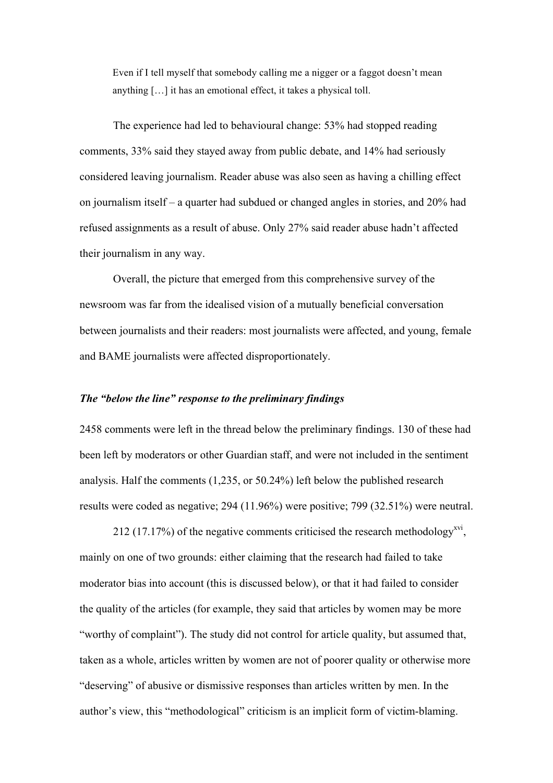Even if I tell myself that somebody calling me a nigger or a faggot doesn't mean anything […] it has an emotional effect, it takes a physical toll.

The experience had led to behavioural change: 53% had stopped reading comments, 33% said they stayed away from public debate, and 14% had seriously considered leaving journalism. Reader abuse was also seen as having a chilling effect on journalism itself – a quarter had subdued or changed angles in stories, and 20% had refused assignments as a result of abuse. Only 27% said reader abuse hadn't affected their journalism in any way.

Overall, the picture that emerged from this comprehensive survey of the newsroom was far from the idealised vision of a mutually beneficial conversation between journalists and their readers: most journalists were affected, and young, female and BAME journalists were affected disproportionately.

## *The "below the line" response to the preliminary findings*

2458 comments were left in the thread below the preliminary findings. 130 of these had been left by moderators or other Guardian staff, and were not included in the sentiment analysis. Half the comments (1,235, or 50.24%) left below the published research results were coded as negative; 294 (11.96%) were positive; 799 (32.51%) were neutral.

212 (17.17%) of the negative comments criticised the research methodology<sup>xvi</sup>, mainly on one of two grounds: either claiming that the research had failed to take moderator bias into account (this is discussed below), or that it had failed to consider the quality of the articles (for example, they said that articles by women may be more "worthy of complaint"). The study did not control for article quality, but assumed that, taken as a whole, articles written by women are not of poorer quality or otherwise more "deserving" of abusive or dismissive responses than articles written by men. In the author's view, this "methodological" criticism is an implicit form of victim-blaming.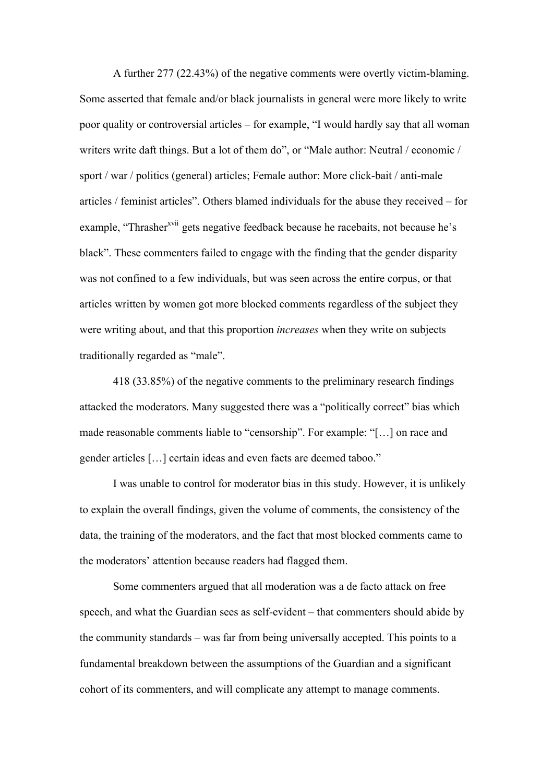A further 277 (22.43%) of the negative comments were overtly victim-blaming. Some asserted that female and/or black journalists in general were more likely to write poor quality or controversial articles – for example, "I would hardly say that all woman writers write daft things. But a lot of them do", or "Male author: Neutral / economic / sport / war / politics (general) articles; Female author: More click-bait / anti-male articles / feminist articles". Others blamed individuals for the abuse they received – for example, "Thrasher<sup>xvii</sup> gets negative feedback because he racebaits, not because he's black". These commenters failed to engage with the finding that the gender disparity was not confined to a few individuals, but was seen across the entire corpus, or that articles written by women got more blocked comments regardless of the subject they were writing about, and that this proportion *increases* when they write on subjects traditionally regarded as "male".

418 (33.85%) of the negative comments to the preliminary research findings attacked the moderators. Many suggested there was a "politically correct" bias which made reasonable comments liable to "censorship". For example: "[…] on race and gender articles […] certain ideas and even facts are deemed taboo."

I was unable to control for moderator bias in this study. However, it is unlikely to explain the overall findings, given the volume of comments, the consistency of the data, the training of the moderators, and the fact that most blocked comments came to the moderators' attention because readers had flagged them.

Some commenters argued that all moderation was a de facto attack on free speech, and what the Guardian sees as self-evident – that commenters should abide by the community standards – was far from being universally accepted. This points to a fundamental breakdown between the assumptions of the Guardian and a significant cohort of its commenters, and will complicate any attempt to manage comments.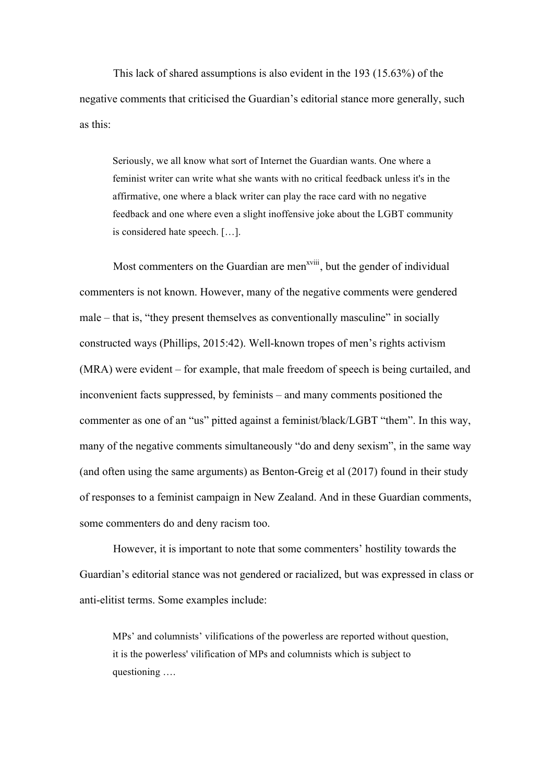This lack of shared assumptions is also evident in the 193 (15.63%) of the negative comments that criticised the Guardian's editorial stance more generally, such as this:

Seriously, we all know what sort of Internet the Guardian wants. One where a feminist writer can write what she wants with no critical feedback unless it's in the affirmative, one where a black writer can play the race card with no negative feedback and one where even a slight inoffensive joke about the LGBT community is considered hate speech. […].

Most commenters on the Guardian are men<sup>xviii</sup>, but the gender of individual commenters is not known. However, many of the negative comments were gendered male – that is, "they present themselves as conventionally masculine" in socially constructed ways (Phillips, 2015:42). Well-known tropes of men's rights activism (MRA) were evident – for example, that male freedom of speech is being curtailed, and inconvenient facts suppressed, by feminists – and many comments positioned the commenter as one of an "us" pitted against a feminist/black/LGBT "them". In this way, many of the negative comments simultaneously "do and deny sexism", in the same way (and often using the same arguments) as Benton-Greig et al (2017) found in their study of responses to a feminist campaign in New Zealand. And in these Guardian comments, some commenters do and deny racism too.

However, it is important to note that some commenters' hostility towards the Guardian's editorial stance was not gendered or racialized, but was expressed in class or anti-elitist terms. Some examples include:

MPs' and columnists' vilifications of the powerless are reported without question, it is the powerless' vilification of MPs and columnists which is subject to questioning ….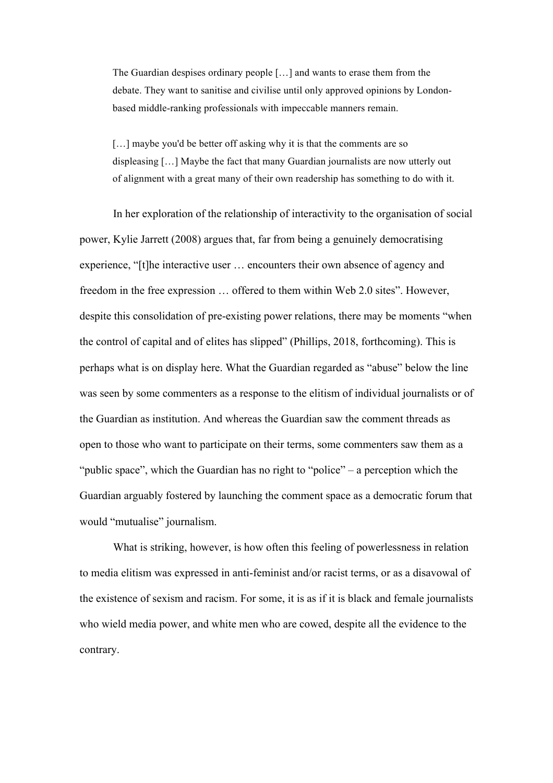The Guardian despises ordinary people […] and wants to erase them from the debate. They want to sanitise and civilise until only approved opinions by Londonbased middle-ranking professionals with impeccable manners remain.

[...] maybe you'd be better off asking why it is that the comments are so displeasing […] Maybe the fact that many Guardian journalists are now utterly out of alignment with a great many of their own readership has something to do with it.

In her exploration of the relationship of interactivity to the organisation of social power, Kylie Jarrett (2008) argues that, far from being a genuinely democratising experience, "[t]he interactive user … encounters their own absence of agency and freedom in the free expression … offered to them within Web 2.0 sites". However, despite this consolidation of pre-existing power relations, there may be moments "when the control of capital and of elites has slipped" (Phillips, 2018, forthcoming). This is perhaps what is on display here. What the Guardian regarded as "abuse" below the line was seen by some commenters as a response to the elitism of individual journalists or of the Guardian as institution. And whereas the Guardian saw the comment threads as open to those who want to participate on their terms, some commenters saw them as a "public space", which the Guardian has no right to "police" – a perception which the Guardian arguably fostered by launching the comment space as a democratic forum that would "mutualise" journalism.

What is striking, however, is how often this feeling of powerlessness in relation to media elitism was expressed in anti-feminist and/or racist terms, or as a disavowal of the existence of sexism and racism. For some, it is as if it is black and female journalists who wield media power, and white men who are cowed, despite all the evidence to the contrary.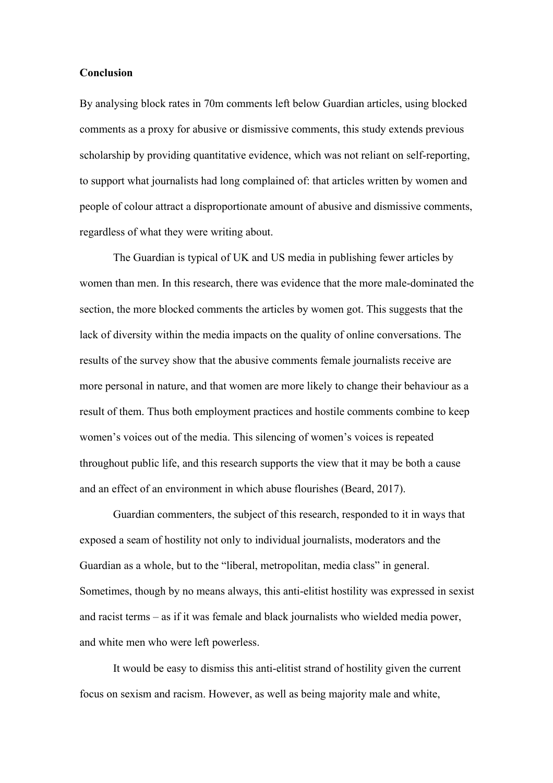### **Conclusion**

By analysing block rates in 70m comments left below Guardian articles, using blocked comments as a proxy for abusive or dismissive comments, this study extends previous scholarship by providing quantitative evidence, which was not reliant on self-reporting, to support what journalists had long complained of: that articles written by women and people of colour attract a disproportionate amount of abusive and dismissive comments, regardless of what they were writing about.

The Guardian is typical of UK and US media in publishing fewer articles by women than men. In this research, there was evidence that the more male-dominated the section, the more blocked comments the articles by women got. This suggests that the lack of diversity within the media impacts on the quality of online conversations. The results of the survey show that the abusive comments female journalists receive are more personal in nature, and that women are more likely to change their behaviour as a result of them. Thus both employment practices and hostile comments combine to keep women's voices out of the media. This silencing of women's voices is repeated throughout public life, and this research supports the view that it may be both a cause and an effect of an environment in which abuse flourishes (Beard, 2017).

Guardian commenters, the subject of this research, responded to it in ways that exposed a seam of hostility not only to individual journalists, moderators and the Guardian as a whole, but to the "liberal, metropolitan, media class" in general. Sometimes, though by no means always, this anti-elitist hostility was expressed in sexist and racist terms – as if it was female and black journalists who wielded media power, and white men who were left powerless.

It would be easy to dismiss this anti-elitist strand of hostility given the current focus on sexism and racism. However, as well as being majority male and white,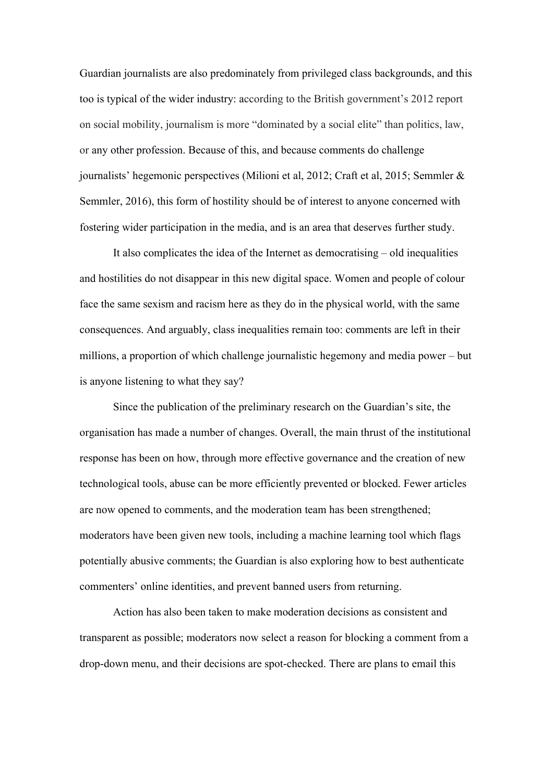Guardian journalists are also predominately from privileged class backgrounds, and this too is typical of the wider industry: according to the British government's 2012 report on social mobility, journalism is more "dominated by a social elite" than politics, law, or any other profession. Because of this, and because comments do challenge journalists' hegemonic perspectives (Milioni et al, 2012; Craft et al, 2015; Semmler & Semmler, 2016), this form of hostility should be of interest to anyone concerned with fostering wider participation in the media, and is an area that deserves further study.

It also complicates the idea of the Internet as democratising – old inequalities and hostilities do not disappear in this new digital space. Women and people of colour face the same sexism and racism here as they do in the physical world, with the same consequences. And arguably, class inequalities remain too: comments are left in their millions, a proportion of which challenge journalistic hegemony and media power – but is anyone listening to what they say?

Since the publication of the preliminary research on the Guardian's site, the organisation has made a number of changes. Overall, the main thrust of the institutional response has been on how, through more effective governance and the creation of new technological tools, abuse can be more efficiently prevented or blocked. Fewer articles are now opened to comments, and the moderation team has been strengthened; moderators have been given new tools, including a machine learning tool which flags potentially abusive comments; the Guardian is also exploring how to best authenticate commenters' online identities, and prevent banned users from returning.

Action has also been taken to make moderation decisions as consistent and transparent as possible; moderators now select a reason for blocking a comment from a drop-down menu, and their decisions are spot-checked. There are plans to email this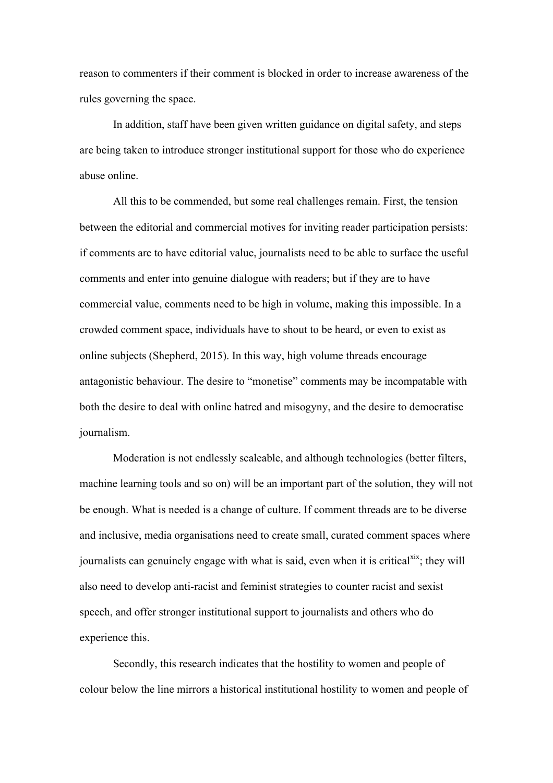reason to commenters if their comment is blocked in order to increase awareness of the rules governing the space.

In addition, staff have been given written guidance on digital safety, and steps are being taken to introduce stronger institutional support for those who do experience abuse online.

All this to be commended, but some real challenges remain. First, the tension between the editorial and commercial motives for inviting reader participation persists: if comments are to have editorial value, journalists need to be able to surface the useful comments and enter into genuine dialogue with readers; but if they are to have commercial value, comments need to be high in volume, making this impossible. In a crowded comment space, individuals have to shout to be heard, or even to exist as online subjects (Shepherd, 2015). In this way, high volume threads encourage antagonistic behaviour. The desire to "monetise" comments may be incompatable with both the desire to deal with online hatred and misogyny, and the desire to democratise journalism.

Moderation is not endlessly scaleable, and although technologies (better filters, machine learning tools and so on) will be an important part of the solution, they will not be enough. What is needed is a change of culture. If comment threads are to be diverse and inclusive, media organisations need to create small, curated comment spaces where journalists can genuinely engage with what is said, even when it is critical  $x$ <sup>xix</sup>; they will also need to develop anti-racist and feminist strategies to counter racist and sexist speech, and offer stronger institutional support to journalists and others who do experience this.

Secondly, this research indicates that the hostility to women and people of colour below the line mirrors a historical institutional hostility to women and people of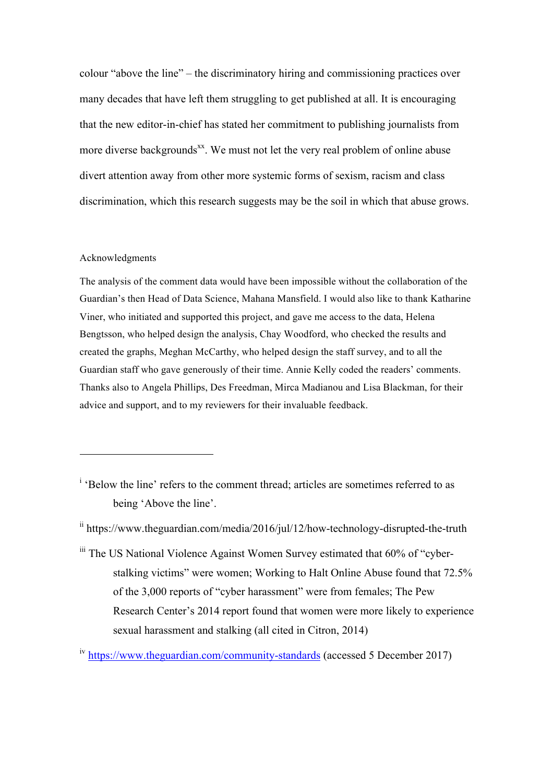colour "above the line" – the discriminatory hiring and commissioning practices over many decades that have left them struggling to get published at all. It is encouraging that the new editor-in-chief has stated her commitment to publishing journalists from more diverse backgrounds<sup>xx</sup>. We must not let the very real problem of online abuse divert attention away from other more systemic forms of sexism, racism and class discrimination, which this research suggests may be the soil in which that abuse grows.

#### Acknowledgments

 $\overline{a}$ 

The analysis of the comment data would have been impossible without the collaboration of the Guardian's then Head of Data Science, Mahana Mansfield. I would also like to thank Katharine Viner, who initiated and supported this project, and gave me access to the data, Helena Bengtsson, who helped design the analysis, Chay Woodford, who checked the results and created the graphs, Meghan McCarthy, who helped design the staff survey, and to all the Guardian staff who gave generously of their time. Annie Kelly coded the readers' comments. Thanks also to Angela Phillips, Des Freedman, Mirca Madianou and Lisa Blackman, for their advice and support, and to my reviewers for their invaluable feedback.

<sup>i</sup> 'Below the line' refers to the comment thread; articles are sometimes referred to as being 'Above the line'.

<sup>iii</sup> The US National Violence Against Women Survey estimated that 60% of "cyberstalking victims" were women; Working to Halt Online Abuse found that 72.5% of the 3,000 reports of "cyber harassment" were from females; The Pew Research Center's 2014 report found that women were more likely to experience sexual harassment and stalking (all cited in Citron, 2014)

ii https://www.theguardian.com/media/2016/jul/12/how-technology-disrupted-the-truth

<sup>&</sup>lt;sup>iv</sup> https://www.theguardian.com/community-standards (accessed 5 December 2017)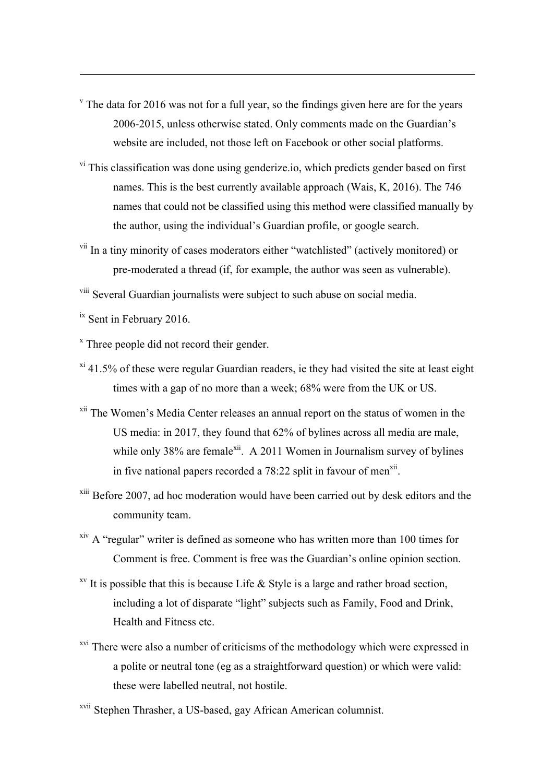- $\sigma$ <sup>v</sup> The data for 2016 was not for a full year, so the findings given here are for the years 2006-2015, unless otherwise stated. Only comments made on the Guardian's website are included, not those left on Facebook or other social platforms.
- <sup>vi</sup> This classification was done using genderize.io, which predicts gender based on first names. This is the best currently available approach (Wais, K, 2016). The 746 names that could not be classified using this method were classified manually by the author, using the individual's Guardian profile, or google search.
- vii In a tiny minority of cases moderators either "watchlisted" (actively monitored) or pre-moderated a thread (if, for example, the author was seen as vulnerable).

viii Several Guardian journalists were subject to such abuse on social media.

<sup>ix</sup> Sent in February 2016.

 $\overline{a}$ 

 $x$ <sup>x</sup> Three people did not record their gender.

- $x_i$ <sup>xi</sup> 41.5% of these were regular Guardian readers, ie they had visited the site at least eight times with a gap of no more than a week; 68% were from the UK or US.
- xii The Women's Media Center releases an annual report on the status of women in the US media: in 2017, they found that 62% of bylines across all media are male, while only 38% are female<sup>xii</sup>. A 2011 Women in Journalism survey of bylines in five national papers recorded a 78:22 split in favour of men<sup>xii</sup>.
- xiii Before 2007, ad hoc moderation would have been carried out by desk editors and the community team.
- xiv A "regular" writer is defined as someone who has written more than 100 times for Comment is free. Comment is free was the Guardian's online opinion section.
- <sup>xv</sup> It is possible that this is because Life  $\&$  Style is a large and rather broad section, including a lot of disparate "light" subjects such as Family, Food and Drink, Health and Fitness etc.
- <sup>xvi</sup> There were also a number of criticisms of the methodology which were expressed in a polite or neutral tone (eg as a straightforward question) or which were valid: these were labelled neutral, not hostile.

xvii Stephen Thrasher, a US-based, gay African American columnist.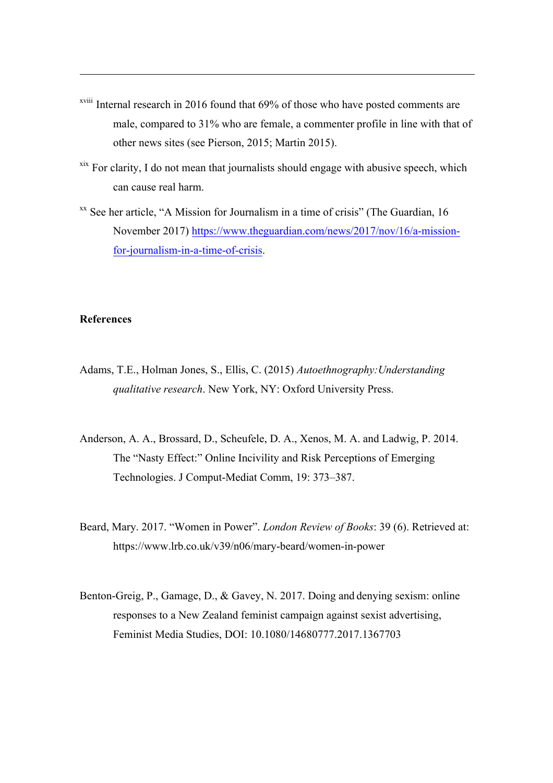- xviii Internal research in 2016 found that 69% of those who have posted comments are male, compared to 31% who are female, a commenter profile in line with that of other news sites (see Pierson, 2015; Martin 2015).
- $x$ <sup>xix</sup> For clarity, I do not mean that journalists should engage with abusive speech, which can cause real harm.
- xx See her article, "A Mission for Journalism in a time of crisis" (The Guardian, 16 November 2017) https://www.theguardian.com/news/2017/nov/16/a-missionfor-journalism-in-a-time-of-crisis.

# **References**

- Adams, T.E., Holman Jones, S., Ellis, C. (2015) *Autoethnography:Understanding qualitative research*. New York, NY: Oxford University Press.
- Anderson, A. A., Brossard, D., Scheufele, D. A., Xenos, M. A. and Ladwig, P. 2014. The "Nasty Effect:" Online Incivility and Risk Perceptions of Emerging Technologies. J Comput-Mediat Comm, 19: 373–387.
- Beard, Mary. 2017. "Women in Power". *London Review of Books*: 39 (6). Retrieved at: https://www.lrb.co.uk/v39/n06/mary-beard/women-in-power
- Benton-Greig, P., Gamage, D., & Gavey, N. 2017. Doing and denying sexism: online responses to a New Zealand feminist campaign against sexist advertising, Feminist Media Studies, DOI: 10.1080/14680777.2017.1367703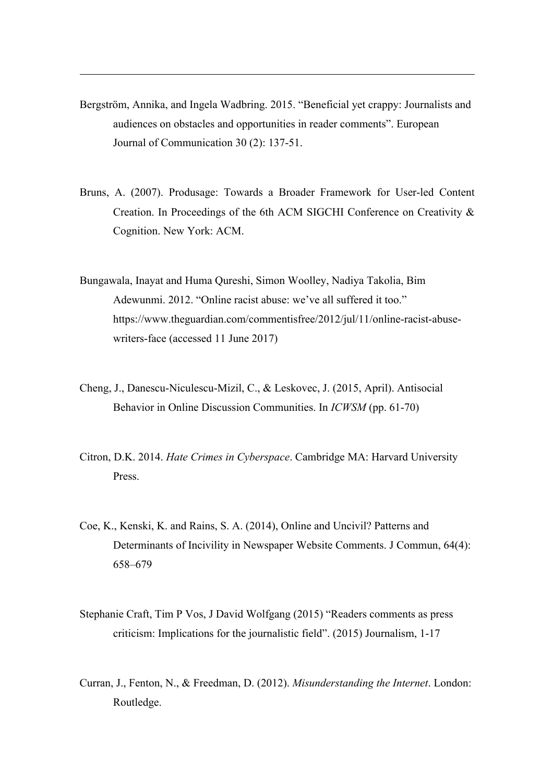Bergström, Annika, and Ingela Wadbring. 2015. "Beneficial yet crappy: Journalists and audiences on obstacles and opportunities in reader comments". European Journal of Communication 30 (2): 137-51.

- Bruns, A. (2007). Produsage: Towards a Broader Framework for User-led Content Creation. In Proceedings of the 6th ACM SIGCHI Conference on Creativity & Cognition. New York: ACM.
- Bungawala, Inayat and Huma Qureshi, Simon Woolley, Nadiya Takolia, Bim Adewunmi. 2012. "Online racist abuse: we've all suffered it too." https://www.theguardian.com/commentisfree/2012/jul/11/online-racist-abusewriters-face (accessed 11 June 2017)
- Cheng, J., Danescu-Niculescu-Mizil, C., & Leskovec, J. (2015, April). Antisocial Behavior in Online Discussion Communities. In *ICWSM* (pp. 61-70)
- Citron, D.K. 2014. *Hate Crimes in Cyberspace*. Cambridge MA: Harvard University Press.
- Coe, K., Kenski, K. and Rains, S. A. (2014), Online and Uncivil? Patterns and Determinants of Incivility in Newspaper Website Comments. J Commun, 64(4): 658–679
- Stephanie Craft, Tim P Vos, J David Wolfgang (2015) "Readers comments as press criticism: Implications for the journalistic field". (2015) Journalism, 1-17
- Curran, J., Fenton, N., & Freedman, D. (2012). *Misunderstanding the Internet*. London: Routledge.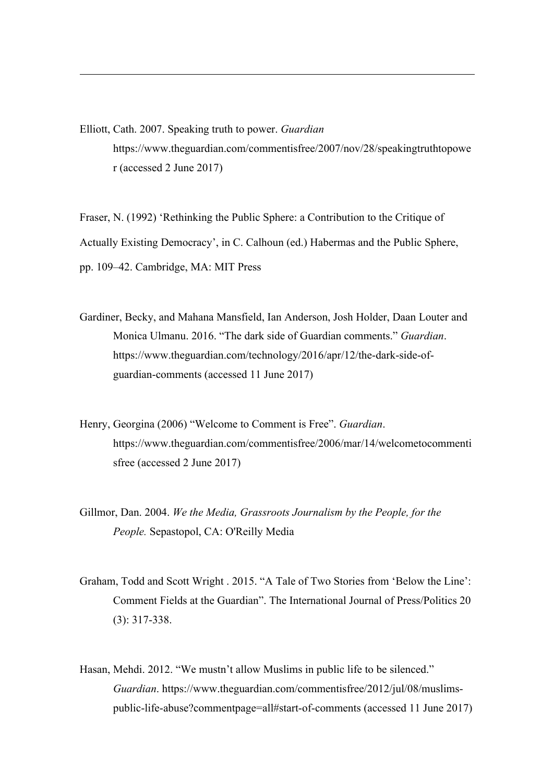Elliott, Cath. 2007. Speaking truth to power. *Guardian* https://www.theguardian.com/commentisfree/2007/nov/28/speakingtruthtopowe r (accessed 2 June 2017)

 $\overline{a}$ 

Fraser, N. (1992) 'Rethinking the Public Sphere: a Contribution to the Critique of Actually Existing Democracy', in C. Calhoun (ed.) Habermas and the Public Sphere, pp. 109–42. Cambridge, MA: MIT Press

Gardiner, Becky, and Mahana Mansfield, Ian Anderson, Josh Holder, Daan Louter and Monica Ulmanu. 2016. "The dark side of Guardian comments." *Guardian*. https://www.theguardian.com/technology/2016/apr/12/the-dark-side-ofguardian-comments (accessed 11 June 2017)

- Henry, Georgina (2006) "Welcome to Comment is Free". *Guardian*. https://www.theguardian.com/commentisfree/2006/mar/14/welcometocommenti sfree (accessed 2 June 2017)
- Gillmor, Dan. 2004. *We the Media, Grassroots Journalism by the People, for the People.* Sepastopol, CA: O'Reilly Media
- Graham, Todd and Scott Wright . 2015. "A Tale of Two Stories from 'Below the Line': Comment Fields at the Guardian". The International Journal of Press/Politics 20 (3): 317-338.
- Hasan, Mehdi. 2012. "We mustn't allow Muslims in public life to be silenced." *Guardian*. https://www.theguardian.com/commentisfree/2012/jul/08/muslimspublic-life-abuse?commentpage=all#start-of-comments (accessed 11 June 2017)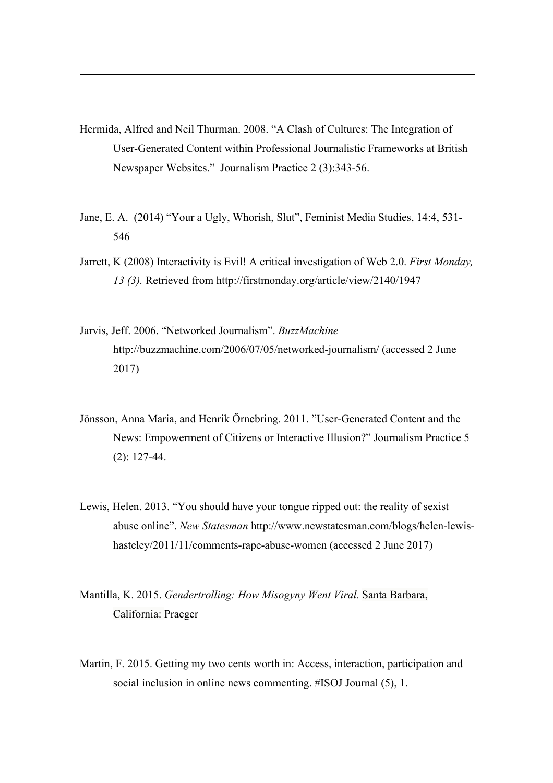Hermida, Alfred and Neil Thurman. 2008. "A Clash of Cultures: The Integration of User-Generated Content within Professional Journalistic Frameworks at British Newspaper Websites." Journalism Practice 2 (3):343-56.

- Jane, E. A. (2014) "Your a Ugly, Whorish, Slut", Feminist Media Studies, 14:4, 531- 546
- Jarrett, K (2008) Interactivity is Evil! A critical investigation of Web 2.0. *First Monday, 13 (3).* Retrieved from http://firstmonday.org/article/view/2140/1947
- Jarvis, Jeff. 2006. "Networked Journalism". *BuzzMachine* http://buzzmachine.com/2006/07/05/networked-journalism/ (accessed 2 June 2017)
- Jönsson, Anna Maria, and Henrik Örnebring. 2011. "User-Generated Content and the News: Empowerment of Citizens or Interactive Illusion?" Journalism Practice 5 (2): 127-44.
- Lewis, Helen. 2013. "You should have your tongue ripped out: the reality of sexist abuse online". *New Statesman* http://www.newstatesman.com/blogs/helen-lewishasteley/2011/11/comments-rape-abuse-women (accessed 2 June 2017)
- Mantilla, K. 2015. *Gendertrolling: How Misogyny Went Viral.* Santa Barbara, California: Praeger
- Martin, F. 2015. Getting my two cents worth in: Access, interaction, participation and social inclusion in online news commenting. #ISOJ Journal (5), 1.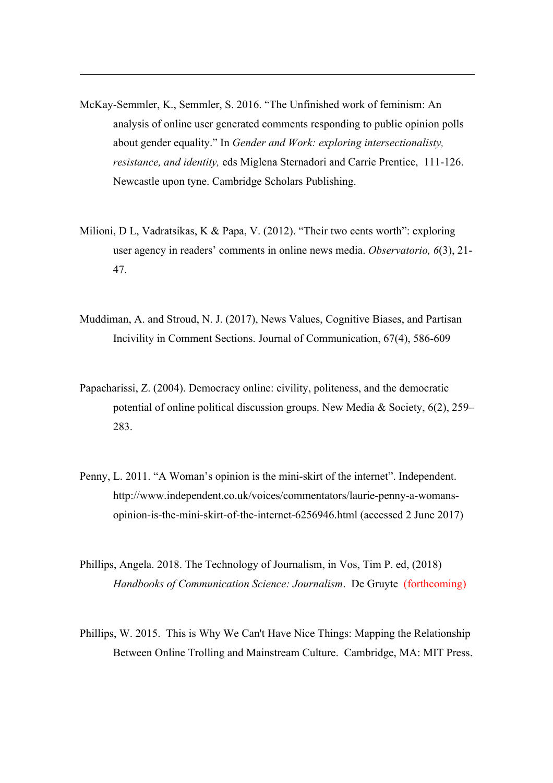McKay-Semmler, K., Semmler, S. 2016. "The Unfinished work of feminism: An analysis of online user generated comments responding to public opinion polls about gender equality." In *Gender and Work: exploring intersectionalisty, resistance, and identity,* eds Miglena Sternadori and Carrie Prentice, 111-126. Newcastle upon tyne. Cambridge Scholars Publishing.

- Milioni, D L, Vadratsikas, K & Papa, V. (2012). "Their two cents worth": exploring user agency in readers' comments in online news media. *Observatorio, 6*(3), 21- 47.
- Muddiman, A. and Stroud, N. J. (2017), News Values, Cognitive Biases, and Partisan Incivility in Comment Sections. Journal of Communication, 67(4), 586-609
- Papacharissi, Z. (2004). Democracy online: civility, politeness, and the democratic potential of online political discussion groups. New Media & Society, 6(2), 259– 283.
- Penny, L. 2011. "A Woman's opinion is the mini-skirt of the internet". Independent. http://www.independent.co.uk/voices/commentators/laurie-penny-a-womansopinion-is-the-mini-skirt-of-the-internet-6256946.html (accessed 2 June 2017)
- Phillips, Angela. 2018. The Technology of Journalism, in Vos, Tim P. ed, (2018) *Handbooks of Communication Science: Journalism*. De Gruyte (forthcoming)
- Phillips, W. 2015. This is Why We Can't Have Nice Things: Mapping the Relationship Between Online Trolling and Mainstream Culture. Cambridge, MA: MIT Press.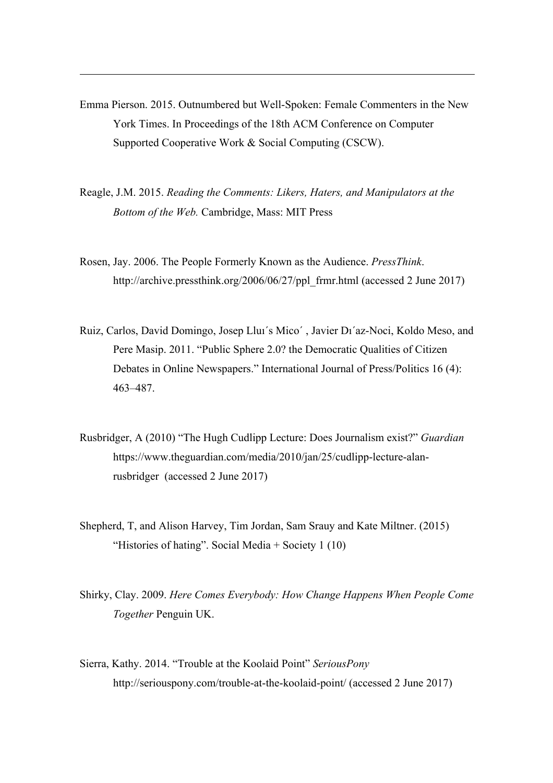Emma Pierson. 2015. Outnumbered but Well-Spoken: Female Commenters in the New York Times. In Proceedings of the 18th ACM Conference on Computer Supported Cooperative Work & Social Computing (CSCW).

- Reagle, J.M. 2015. *Reading the Comments: Likers, Haters, and Manipulators at the Bottom of the Web.* Cambridge, Mass: MIT Press
- Rosen, Jay. 2006. The People Formerly Known as the Audience. *PressThink*. http://archive.pressthink.org/2006/06/27/ppl\_frmr.html (accessed 2 June 2017)
- Ruiz, Carlos, David Domingo, Josep Lluı´s Mico´ , Javier Dı´az-Noci, Koldo Meso, and Pere Masip. 2011. "Public Sphere 2.0? the Democratic Qualities of Citizen Debates in Online Newspapers." International Journal of Press/Politics 16 (4): 463–487.
- Rusbridger, A (2010) "The Hugh Cudlipp Lecture: Does Journalism exist?" *Guardian* https://www.theguardian.com/media/2010/jan/25/cudlipp-lecture-alanrusbridger (accessed 2 June 2017)
- Shepherd, T, and Alison Harvey, Tim Jordan, Sam Srauy and Kate Miltner. (2015) "Histories of hating". Social Media + Society 1 (10)
- Shirky, Clay. 2009. *Here Comes Everybody: How Change Happens When People Come Together* Penguin UK.
- Sierra, Kathy. 2014. "Trouble at the Koolaid Point" *SeriousPony* http://seriouspony.com/trouble-at-the-koolaid-point/ (accessed 2 June 2017)